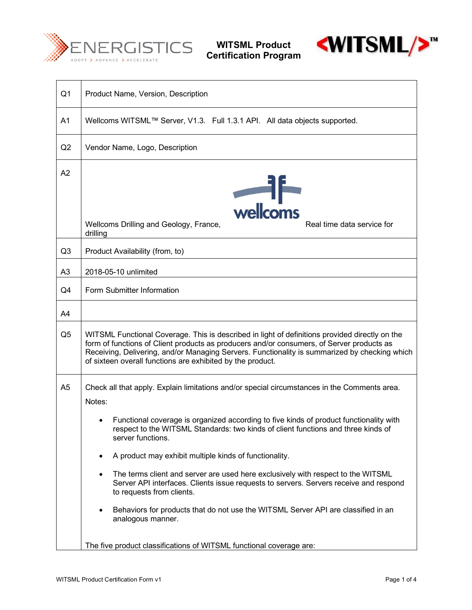

**WITSML Product Certification Program**



| Q <sub>1</sub> | Product Name, Version, Description                                                                                                                                                                                                                                                                                                                                                                                                                                                                                                                                                                                                                                                            |  |
|----------------|-----------------------------------------------------------------------------------------------------------------------------------------------------------------------------------------------------------------------------------------------------------------------------------------------------------------------------------------------------------------------------------------------------------------------------------------------------------------------------------------------------------------------------------------------------------------------------------------------------------------------------------------------------------------------------------------------|--|
| A1             | Wellcoms WITSML™ Server, V1.3. Full 1.3.1 API. All data objects supported.                                                                                                                                                                                                                                                                                                                                                                                                                                                                                                                                                                                                                    |  |
| Q2             | Vendor Name, Logo, Description                                                                                                                                                                                                                                                                                                                                                                                                                                                                                                                                                                                                                                                                |  |
| A2             | wellcoms<br>Real time data service for<br>Wellcoms Drilling and Geology, France,<br>drilling                                                                                                                                                                                                                                                                                                                                                                                                                                                                                                                                                                                                  |  |
| Q <sub>3</sub> | Product Availability (from, to)                                                                                                                                                                                                                                                                                                                                                                                                                                                                                                                                                                                                                                                               |  |
| A <sub>3</sub> | 2018-05-10 unlimited                                                                                                                                                                                                                                                                                                                                                                                                                                                                                                                                                                                                                                                                          |  |
| Q4             | Form Submitter Information                                                                                                                                                                                                                                                                                                                                                                                                                                                                                                                                                                                                                                                                    |  |
| A4             |                                                                                                                                                                                                                                                                                                                                                                                                                                                                                                                                                                                                                                                                                               |  |
| Q <sub>5</sub> | WITSML Functional Coverage. This is described in light of definitions provided directly on the<br>form of functions of Client products as producers and/or consumers, of Server products as<br>Receiving, Delivering, and/or Managing Servers. Functionality is summarized by checking which<br>of sixteen overall functions are exhibited by the product.                                                                                                                                                                                                                                                                                                                                    |  |
| A5             | Check all that apply. Explain limitations and/or special circumstances in the Comments area.<br>Notes:<br>Functional coverage is organized according to five kinds of product functionality with<br>respect to the WITSML Standards: two kinds of client functions and three kinds of<br>server functions.<br>A product may exhibit multiple kinds of functionality.<br>٠<br>The terms client and server are used here exclusively with respect to the WITSML<br>Server API interfaces. Clients issue requests to servers. Servers receive and respond<br>to requests from clients.<br>Behaviors for products that do not use the WITSML Server API are classified in an<br>analogous manner. |  |
|                | The five product classifications of WITSML functional coverage are:                                                                                                                                                                                                                                                                                                                                                                                                                                                                                                                                                                                                                           |  |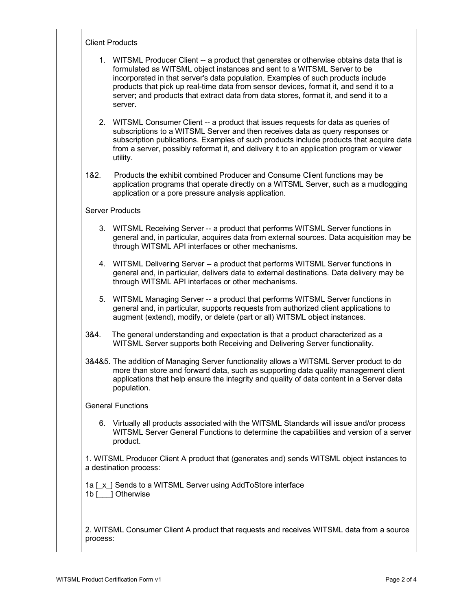|      | 1. WITSML Producer Client -- a product that generates or otherwise obtains data that is<br>formulated as WITSML object instances and sent to a WITSML Server to be<br>incorporated in that server's data population. Examples of such products include<br>products that pick up real-time data from sensor devices, format it, and send it to a<br>server; and products that extract data from data stores, format it, and send it to a<br>server. |
|------|----------------------------------------------------------------------------------------------------------------------------------------------------------------------------------------------------------------------------------------------------------------------------------------------------------------------------------------------------------------------------------------------------------------------------------------------------|
|      | 2. WITSML Consumer Client -- a product that issues requests for data as queries of<br>subscriptions to a WITSML Server and then receives data as query responses or<br>subscription publications. Examples of such products include products that acquire data<br>from a server, possibly reformat it, and delivery it to an application program or viewer<br>utility.                                                                             |
| 182. | Products the exhibit combined Producer and Consume Client functions may be<br>application programs that operate directly on a WITSML Server, such as a mudlogging<br>application or a pore pressure analysis application.                                                                                                                                                                                                                          |
|      | <b>Server Products</b>                                                                                                                                                                                                                                                                                                                                                                                                                             |
|      | 3. WITSML Receiving Server -- a product that performs WITSML Server functions in<br>general and, in particular, acquires data from external sources. Data acquisition may be<br>through WITSML API interfaces or other mechanisms.                                                                                                                                                                                                                 |
|      | 4. WITSML Delivering Server -- a product that performs WITSML Server functions in<br>general and, in particular, delivers data to external destinations. Data delivery may be<br>through WITSML API interfaces or other mechanisms.                                                                                                                                                                                                                |
| 5.   | WITSML Managing Server -- a product that performs WITSML Server functions in<br>general and, in particular, supports requests from authorized client applications to<br>augment (extend), modify, or delete (part or all) WITSML object instances.                                                                                                                                                                                                 |
| 3&4. | The general understanding and expectation is that a product characterized as a<br>WITSML Server supports both Receiving and Delivering Server functionality.                                                                                                                                                                                                                                                                                       |
|      | 3&4&5. The addition of Managing Server functionality allows a WITSML Server product to do<br>more than store and forward data, such as supporting data quality management client<br>applications that help ensure the integrity and quality of data content in a Server data<br>population.                                                                                                                                                        |
|      | <b>General Functions</b>                                                                                                                                                                                                                                                                                                                                                                                                                           |
|      | 6. Virtually all products associated with the WITSML Standards will issue and/or process<br>WITSML Server General Functions to determine the capabilities and version of a server<br>product.                                                                                                                                                                                                                                                      |
|      | 1. WITSML Producer Client A product that (generates and) sends WITSML object instances to<br>a destination process:                                                                                                                                                                                                                                                                                                                                |
|      | 1a [x] Sends to a WITSML Server using AddToStore interface<br>1b [ ] Otherwise                                                                                                                                                                                                                                                                                                                                                                     |
|      |                                                                                                                                                                                                                                                                                                                                                                                                                                                    |

┬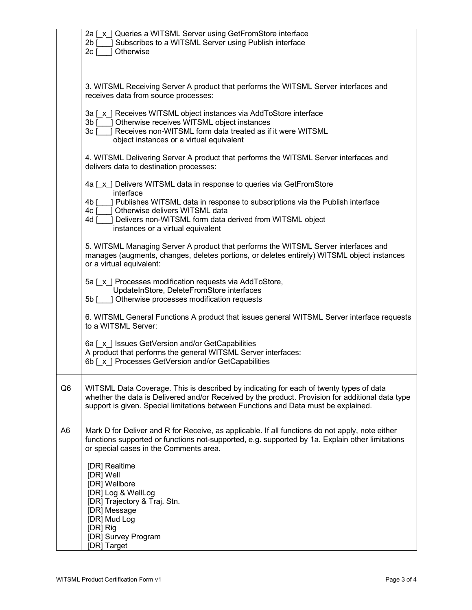|                | 2a [x ] Queries a WITSML Server using GetFromStore interface<br>2b [ ] Subscribes to a WITSML Server using Publish interface<br>$2c$ [<br>Otherwise                                                                                                                               |
|----------------|-----------------------------------------------------------------------------------------------------------------------------------------------------------------------------------------------------------------------------------------------------------------------------------|
|                | 3. WITSML Receiving Server A product that performs the WITSML Server interfaces and<br>receives data from source processes:                                                                                                                                                       |
|                | 3a [x] Receives WITSML object instances via AddToStore interface<br>3b [ ] Otherwise receives WITSML object instances<br>3c [ ] Receives non-WITSML form data treated as if it were WITSML<br>object instances or a virtual equivalent                                            |
|                | 4. WITSML Delivering Server A product that performs the WITSML Server interfaces and<br>delivers data to destination processes:                                                                                                                                                   |
|                | 4a [x] Delivers WITSML data in response to queries via GetFromStore<br>interface                                                                                                                                                                                                  |
|                | ] Publishes WITSML data in response to subscriptions via the Publish interface<br>4b [<br>1 Otherwise delivers WITSML data<br>4c [<br>4d [ ] Delivers non-WITSML form data derived from WITSML object<br>instances or a virtual equivalent                                        |
|                | 5. WITSML Managing Server A product that performs the WITSML Server interfaces and<br>manages (augments, changes, deletes portions, or deletes entirely) WITSML object instances<br>or a virtual equivalent:                                                                      |
|                | 5a [x] Processes modification requests via AddToStore,<br>UpdateInStore, DeleteFromStore interfaces<br>5b [ ] Otherwise processes modification requests                                                                                                                           |
|                | 6. WITSML General Functions A product that issues general WITSML Server interface requests<br>to a WITSML Server:                                                                                                                                                                 |
|                | 6a [x ] Issues GetVersion and/or GetCapabilities<br>A product that performs the general WITSML Server interfaces:<br>6b [x] Processes GetVersion and/or GetCapabilities                                                                                                           |
| Q <sub>6</sub> | WITSML Data Coverage. This is described by indicating for each of twenty types of data<br>whether the data is Delivered and/or Received by the product. Provision for additional data type<br>support is given. Special limitations between Functions and Data must be explained. |
| A <sub>6</sub> | Mark D for Deliver and R for Receive, as applicable. If all functions do not apply, note either<br>functions supported or functions not-supported, e.g. supported by 1a. Explain other limitations<br>or special cases in the Comments area.                                      |
|                | [DR] Realtime<br>[DR] Well<br>[DR] Wellbore<br>[DR] Log & WellLog<br>[DR] Trajectory & Traj. Stn.<br>[DR] Message<br>[DR] Mud Log<br>[DR] Rig<br>[DR] Survey Program<br>[DR] Target                                                                                               |